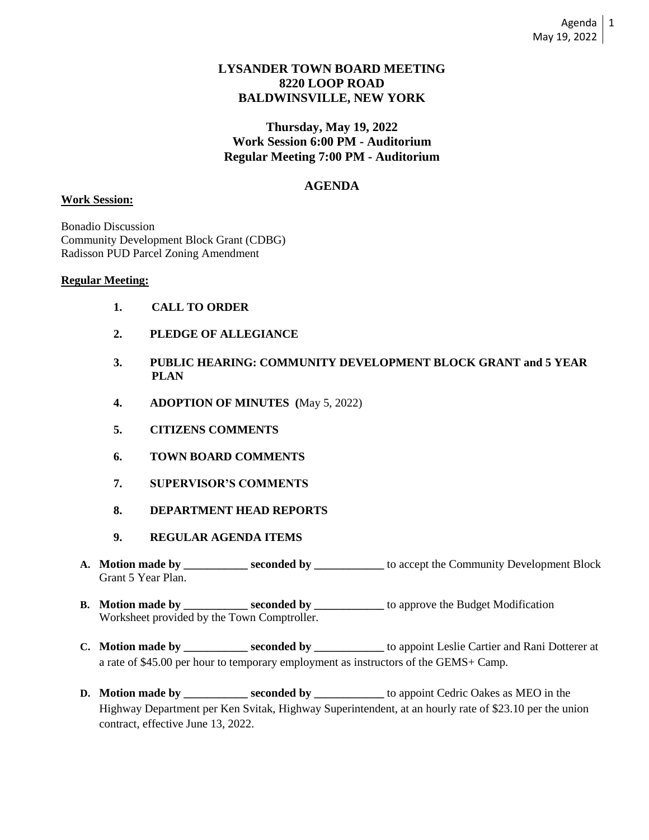# **LYSANDER TOWN BOARD MEETING 8220 LOOP ROAD BALDWINSVILLE, NEW YORK**

**Thursday, May 19, 2022 Work Session 6:00 PM - Auditorium Regular Meeting 7:00 PM - Auditorium**

# **AGENDA**

## **Work Session:**

Bonadio Discussion Community Development Block Grant (CDBG) Radisson PUD Parcel Zoning Amendment

### **Regular Meeting:**

- **1. CALL TO ORDER**
- **2. PLEDGE OF ALLEGIANCE**
- **3. PUBLIC HEARING: COMMUNITY DEVELOPMENT BLOCK GRANT and 5 YEAR PLAN**
- **4. ADOPTION OF MINUTES (**May 5, 2022)
- **5. CITIZENS COMMENTS**
- **6. TOWN BOARD COMMENTS**
- **7. SUPERVISOR'S COMMENTS**
- **8. DEPARTMENT HEAD REPORTS**
- **9. REGULAR AGENDA ITEMS**
- **A. Motion made by \_\_\_\_\_\_\_\_\_\_\_ seconded by \_\_\_\_\_\_\_\_\_\_\_\_** to accept the Community Development Block Grant 5 Year Plan.
- **B.** Motion made by \_\_\_\_\_\_\_\_\_\_ seconded by \_\_\_\_\_\_\_\_\_\_\_ to approve the Budget Modification Worksheet provided by the Town Comptroller.
- **C. Motion made by \_\_\_\_\_\_\_\_\_\_\_ seconded by \_\_\_\_\_\_\_\_\_\_\_\_** to appoint Leslie Cartier and Rani Dotterer at a rate of \$45.00 per hour to temporary employment as instructors of the GEMS+ Camp.
- **D. Motion made by \_\_\_\_\_\_\_\_\_\_ seconded by \_\_\_\_\_\_\_\_** to appoint Cedric Oakes as MEO in the Highway Department per Ken Svitak, Highway Superintendent, at an hourly rate of \$23.10 per the union contract, effective June 13, 2022.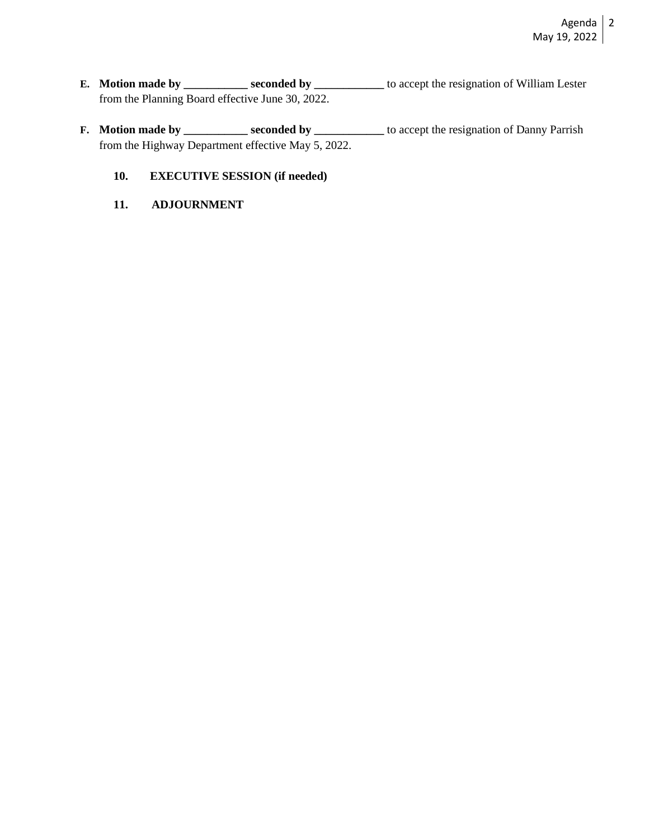- **E.** Motion made by \_\_\_\_\_\_\_\_\_\_\_ seconded by \_\_\_\_\_\_\_\_\_\_\_ to accept the resignation of William Lester from the Planning Board effective June 30, 2022.
- **F. Motion made by \_\_\_\_\_\_\_\_\_\_\_ seconded by \_\_\_\_\_\_\_\_\_** to accept the resignation of Danny Parrish from the Highway Department effective May 5, 2022.
	- **10. EXECUTIVE SESSION (if needed)**
	- **11. ADJOURNMENT**